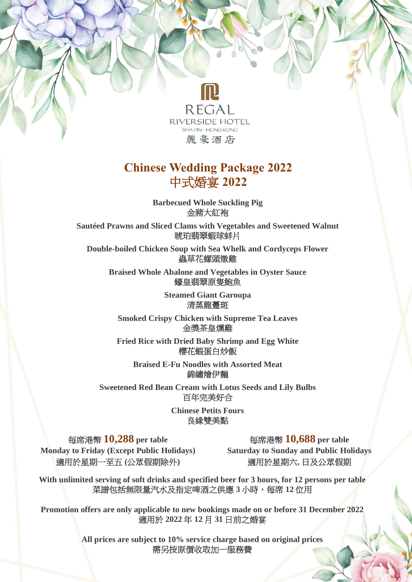

#### **Chinese Wedding Package 2022** 中式婚宴 **2022**

**Barbecued Whole Suckling Pig** 金豬大紅袍

**Sautéed Prawns and Sliced Clams with Vegetables and Sweetened Walnut** 琥珀翡翠蝦球蚌片

**Double-boiled Chicken Soup with Sea Whelk and Cordyceps Flower** 蟲草花螺頭燉雞

**Braised Whole Abalone and Vegetables in Oyster Sauce** 蠔皇翡翠原售鮑魚

> **Steamed Giant Garoupa** 清蒸龍躉斑

**Smoked Crispy Chicken with Supreme Tea Leaves** 金獎茶皇燻雞

**Fried Rice with Dried Baby Shrimp and Egg White** 櫻花蝦蛋白炒飯

**Braised E-Fu Noodles with Assorted Meat**  錦繡燴伊麵

**Sweetened Red Bean Cream with Lotus Seeds and Lily Bulbs** 百年完美好合

> **Chinese Petits Fours** 良緣雙美點

每席港幣 **10,288 per table Monday to Friday (Except Public Holidays)** 適用於星期一至五 **(**公眾假期除外**)**

每席港幣 **10,688 per table Saturday to Sunday and Public Holidays** 適用於星期六**,** 日及公眾假期

**With unlimited serving of soft drinks and specified beer for 3 hours, for 12 persons per table** 菜譜包括無限量汽水及指定啤酒之供應 3 小時,每席 12 位用

**Promotion offers are only applicable to new bookings made on or before 31 December 2022** 適用於 **2022** 年 **12** 月 **31** 日前之婚宴

> **All prices are subject to 10% service charge based on original prices** 需另按原價收取加一服務費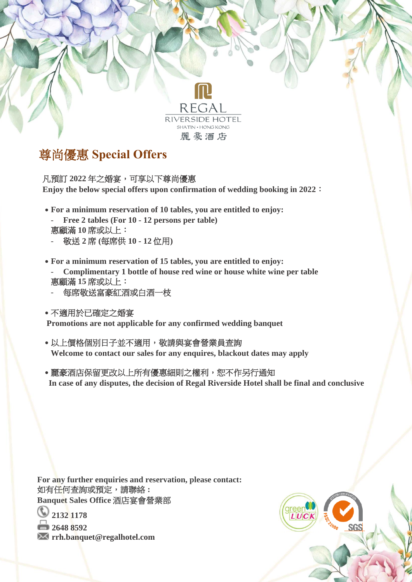# REGAL **RIVERSIDE HOTEL** 麗豪酒店

## 尊尚優惠 **Special Offers**

#### 凡預訂 **2022** 年之婚宴,可享以下尊尚優惠

**Enjoy the below special offers upon confirmation of wedding booking in 2022**:

- ˙**For a minimum reservation of 10 tables, you are entitled to enjoy:**
	- **Free 2 tables (For 10 - 12 persons per table)**
	- 惠顧滿 **10** 席或以上:
	- 敬送 **2** 席 **(**每席供 **10 - 12** 位用**)**
- ˙**For a minimum reservation of 15 tables, you are entitled to enjoy:**
- **Complimentary 1 bottle of house red wine or house white wine per table** 惠顧滿 **15** 席或以上:
- 每席敬送富豪紅酒或白酒一枝
- ˙不適用於已確定之婚宴

 **Promotions are not applicable for any confirmed wedding banquet**

- •以上價格個別日子並不適用,敬請與宴會營業員查詢 **Welcome to contact our sales for any enquires, blackout dates may apply**
- •麗豪酒店保留更改以上所有優惠細則之權利,恕不作另行通知  **In case of any disputes, the decision of Regal Riverside Hotel shall be final and conclusive**

**For any further enquiries and reservation, please contact:** 如有任何查詢或預定,請聯絡 **: Banquet Sales Office** 酒店宴會營業部

**12** 2132 1178 **2648 8592 rrh.banquet@regalhotel.com**

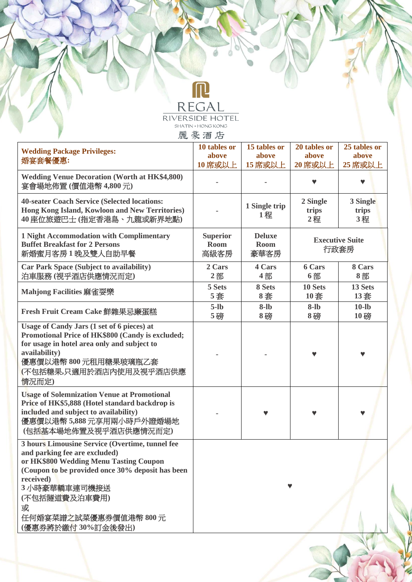|                                                                                                                                                                                                                                                             | REGAL<br><b>RIVERSIDE HOTEL</b>        |                                      |                                  |                                  |
|-------------------------------------------------------------------------------------------------------------------------------------------------------------------------------------------------------------------------------------------------------------|----------------------------------------|--------------------------------------|----------------------------------|----------------------------------|
| <b>SHATIN . HONG KONG</b><br>麗豪酒店                                                                                                                                                                                                                           |                                        |                                      |                                  |                                  |
| <b>Wedding Package Privileges:</b><br>婚宴套餐優惠:                                                                                                                                                                                                               | 10 tables or<br>above<br>10 席或以上       | 15 tables or<br>above<br>15 席或以上     | 20 tables or<br>above<br>20 席或以上 | 25 tables or<br>above<br>25 席或以上 |
| <b>Wedding Venue Decoration (Worth at HK\$4,800)</b><br>宴會場地佈置(價值港幣4,800元)                                                                                                                                                                                  |                                        |                                      |                                  |                                  |
| <b>40-seater Coach Service (Selected locations:</b><br>Hong Kong Island, Kowloon and New Territories)<br>40座位旅遊巴士(指定香港島、九龍或新界地點)                                                                                                                            |                                        | 1 Single trip<br>1程                  | 2 Single<br>trips<br>2程          | 3 Single<br>trips<br>3程          |
| 1 Night Accommodation with Complimentary<br><b>Buffet Breakfast for 2 Persons</b><br>新婚蜜月客房1晚及雙人自助早餐                                                                                                                                                        | <b>Superior</b><br><b>Room</b><br>高級客房 | <b>Deluxe</b><br><b>Room</b><br>豪華客房 |                                  | <b>Executive Suite</b><br>行政套房   |
| Car Park Space (Subject to availability)<br>泊車服務(視乎酒店供應情況而定)                                                                                                                                                                                                | 2 Cars<br>2部                           | 4 Cars<br>4部                         | 6 Cars<br>6部                     | 8 Cars<br>8部                     |
| Mahjong Facilities 麻雀耍樂                                                                                                                                                                                                                                     | 5 Sets<br>5套                           | 8 Sets<br>8套                         | 10 Sets<br>10套                   | 13 Sets<br>13套                   |
| Fresh Fruit Cream Cake 鮮雜果忌廉蛋糕                                                                                                                                                                                                                              | $5-lb$<br>5磅                           | $8$ -lb<br>8磅                        | $8$ -lb<br>8磅                    | $10$ -lb<br>10磅                  |
| Usage of Candy Jars (1 set of 6 pieces) at<br>Promotional Price of HK\$800 (Candy is excluded;<br>for usage in hotel area only and subject to<br>availability)<br>優惠價以港幣 800 元租用糖果玻璃瓶乙套<br>(不包括糖果,只適用於酒店内使用及視乎酒店供應<br>情況而定)                                 |                                        |                                      |                                  |                                  |
| <b>Usage of Solemnization Venue at Promotional</b><br>Price of HK\$5,888 (Hotel standard backdrop is<br>included and subject to availability)<br>優惠價以港幣 5,888 元享用兩小時戶外證婚場地<br>(包括基本場地佈置及視乎酒店供應情況而定)                                                         |                                        |                                      |                                  |                                  |
| 3 hours Limousine Service (Overtime, tunnel fee<br>and parking fee are excluded)<br>or HK\$800 Wedding Menu Tasting Coupon<br>(Coupon to be provided once 30% deposit has been<br>received)<br>3小時豪華轎車連司機接送<br>(不包括隧道費及泊車費用)<br>或<br>任何婚宴菜譜之試菜優惠券價值港幣 800 元 |                                        |                                      |                                  |                                  |
| (優惠券將於繳付 30%訂金後發出)                                                                                                                                                                                                                                          |                                        |                                      |                                  |                                  |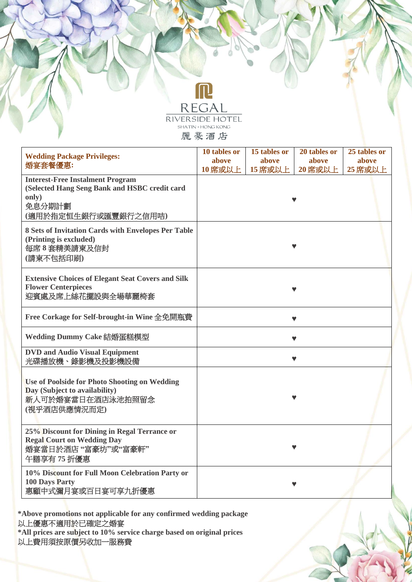**Wedding Package Privileges:** 婚宴套餐優惠**: 10 tables or above 10** 席或以上 **15 tables or above 15** 席或以上 **20 tables or above 20** 席或以上 **25 tables or above 25** 席或以上 **Interest-Free Instalment Program (Selected Hang Seng Bank and HSBC credit card only)** 免息分期計劃 **(**適用於指定恒生銀行或匯豐銀行之信用咭**) ♥ 8 Sets of Invitation Cards with Envelopes Per Table (Printing is excluded)** 每席 **8** 套精美請柬及信封 **(**請柬不包括印刷**) ♥ Extensive Choices of Elegant Seat Covers and Silk Flower Centerpieces** 迎賓處及席上絲花擺設與全場華麗椅套 **♥** Free Corkage for Self-brought-in Wine 全免開瓶費 **Wedding Dummy Cake** 結婚蛋糕模型 **DVD and Audio Visual Equipment** 光碟播放機、錄影機及投影機設備 **Use of Poolside for Photo Shooting on Wedding Day (Subject to availability)** 新人可於婚宴當日在酒店泳池拍照留念 **(**視乎酒店供應情況而定**) ♥ 25% Discount for Dining in Regal Terrance or Regal Court on Wedding Day** 婚宴當日於酒店 **"**富豪坊**"**或**"**富豪軒**"** 午膳享有 **75** 折優惠 **♥**

REGAL **RIVERSIDE HOTEL** SHATIN . HONG KONG 麗豪酒店

**♥**

**10% Discount for Full Moon Celebration Party or 100 Days Party** 惠顧中式彌月宴或百日宴可享九折優惠

**\*Above promotions not applicable for any confirmed wedding package** 以上優惠不適用於已確定之婚宴 **\*All prices are subject to 10% service charge based on original prices**

以上費用須按原價另收加一服務費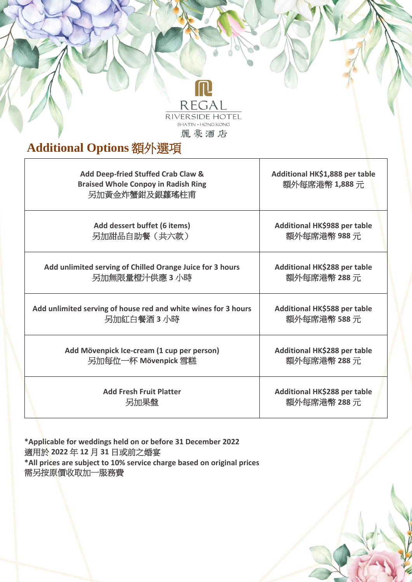## **Additional Options** 額外選項

| Add Deep-fried Stuffed Crab Claw &<br><b>Braised Whole Conpoy in Radish Ring</b><br>另加黃金炸蟹鉗及銀蘿瑤柱甫 | Additional HK\$1,888 per table<br>額外每席港幣 1,888 元 |  |  |
|---------------------------------------------------------------------------------------------------|--------------------------------------------------|--|--|
| Add dessert buffet (6 items)                                                                      | Additional HK\$988 per table                     |  |  |
| 另加甜品自助餐 (共六款)                                                                                     | 額外每席港幣 988元                                      |  |  |
| Add unlimited serving of Chilled Orange Juice for 3 hours                                         | Additional HK\$288 per table                     |  |  |
| 另加無限量橙汁供應3小時                                                                                      | 額外每席港幣 288 元                                     |  |  |
| Add unlimited serving of house red and white wines for 3 hours                                    | Additional HK\$588 per table                     |  |  |
| 另加紅白餐酒3小時                                                                                         | 額外每席港幣 588 元                                     |  |  |
| Add Mövenpick Ice-cream (1 cup per person)                                                        | Additional HK\$288 per table                     |  |  |
| 另加每位一杯 Mövenpick 雪糕                                                                               | 額外每席港幣 288 元                                     |  |  |
| <b>Add Fresh Fruit Platter</b>                                                                    | Additional HK\$288 per table                     |  |  |
| 另加果盤                                                                                              | 額外每席港幣 288 元                                     |  |  |

REGAL<br>RIVERSIDE HOTEL

麗豪酒店

**\*Applicable for weddings held on or before 31 December 2022** 適用於 **2022** 年 **12** 月 **31** 日或前之婚宴 **\*All prices are subject to 10% service charge based on original prices** 需另按原價收取加一服務費